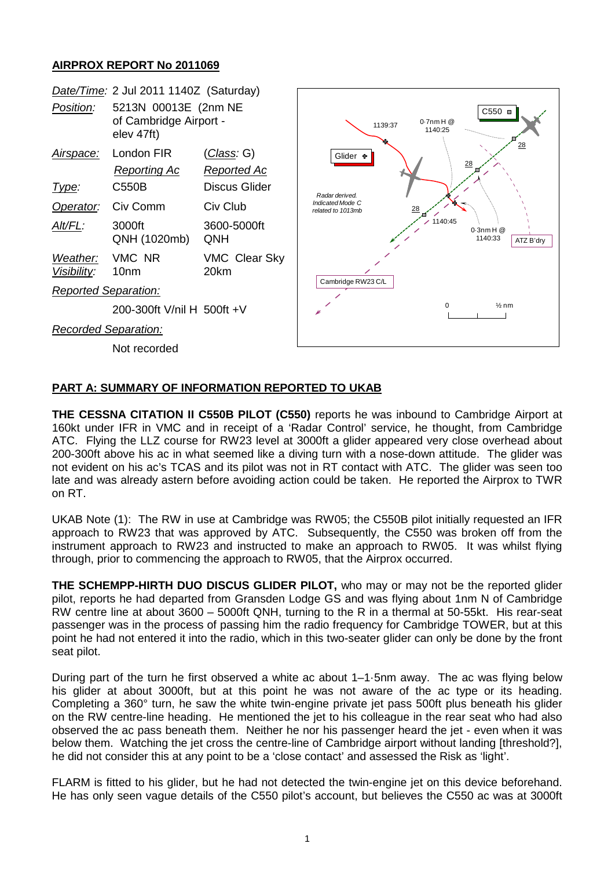## **AIRPROX REPORT No 2011069**



## **PART A: SUMMARY OF INFORMATION REPORTED TO UKAB**

**THE CESSNA CITATION II C550B PILOT (C550)** reports he was inbound to Cambridge Airport at 160kt under IFR in VMC and in receipt of a 'Radar Control' service, he thought, from Cambridge ATC. Flying the LLZ course for RW23 level at 3000ft a glider appeared very close overhead about 200-300ft above his ac in what seemed like a diving turn with a nose-down attitude. The glider was not evident on his ac's TCAS and its pilot was not in RT contact with ATC. The glider was seen too late and was already astern before avoiding action could be taken. He reported the Airprox to TWR on RT.

UKAB Note (1): The RW in use at Cambridge was RW05; the C550B pilot initially requested an IFR approach to RW23 that was approved by ATC. Subsequently, the C550 was broken off from the instrument approach to RW23 and instructed to make an approach to RW05. It was whilst flying through, prior to commencing the approach to RW05, that the Airprox occurred.

**THE SCHEMPP-HIRTH DUO DISCUS GLIDER PILOT,** who may or may not be the reported glider pilot, reports he had departed from Gransden Lodge GS and was flying about 1nm N of Cambridge RW centre line at about 3600 – 5000ft QNH, turning to the R in a thermal at 50-55kt. His rear-seat passenger was in the process of passing him the radio frequency for Cambridge TOWER, but at this point he had not entered it into the radio, which in this two-seater glider can only be done by the front seat pilot.

During part of the turn he first observed a white ac about 1–1·5nm away. The ac was flying below his glider at about 3000ft, but at this point he was not aware of the ac type or its heading. Completing a 360° turn, he saw the white twin-engine private jet pass 500ft plus beneath his glider on the RW centre-line heading. He mentioned the jet to his colleague in the rear seat who had also observed the ac pass beneath them. Neither he nor his passenger heard the jet - even when it was below them. Watching the jet cross the centre-line of Cambridge airport without landing [threshold?], he did not consider this at any point to be a 'close contact' and assessed the Risk as 'light'.

FLARM is fitted to his glider, but he had not detected the twin-engine jet on this device beforehand. He has only seen vague details of the C550 pilot's account, but believes the C550 ac was at 3000ft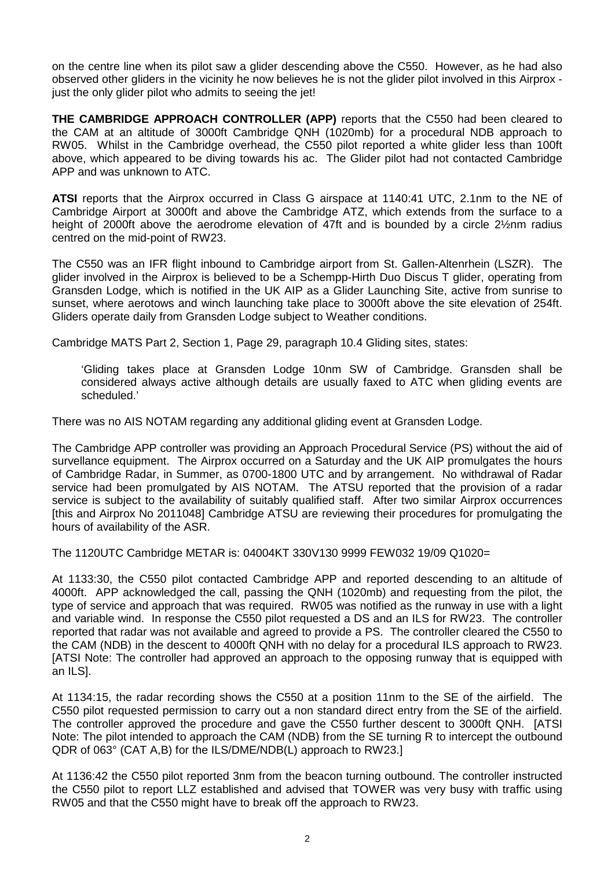on the centre line when its pilot saw a glider descending above the C550. However, as he had also observed other gliders in the vicinity he now believes he is not the glider pilot involved in this Airprox just the only glider pilot who admits to seeing the jet!

**THE CAMBRIDGE APPROACH CONTROLLER (APP)** reports that the C550 had been cleared to the CAM at an altitude of 3000ft Cambridge QNH (1020mb) for a procedural NDB approach to RW05. Whilst in the Cambridge overhead, the C550 pilot reported a white glider less than 100ft above, which appeared to be diving towards his ac. The Glider pilot had not contacted Cambridge APP and was unknown to ATC.

**ATSI** reports that the Airprox occurred in Class G airspace at 1140:41 UTC, 2.1nm to the NE of Cambridge Airport at 3000ft and above the Cambridge ATZ, which extends from the surface to a height of 2000ft above the aerodrome elevation of 47ft and is bounded by a circle 2½nm radius centred on the mid-point of RW23.

The C550 was an IFR flight inbound to Cambridge airport from St. Gallen-Altenrhein (LSZR). The glider involved in the Airprox is believed to be a Schempp-Hirth Duo Discus T glider, operating from Gransden Lodge, which is notified in the UK AIP as a Glider Launching Site, active from sunrise to sunset, where aerotows and winch launching take place to 3000ft above the site elevation of 254ft. Gliders operate daily from Gransden Lodge subject to Weather conditions.

Cambridge MATS Part 2, Section 1, Page 29, paragraph 10.4 Gliding sites, states:

'Gliding takes place at Gransden Lodge 10nm SW of Cambridge. Gransden shall be considered always active although details are usually faxed to ATC when gliding events are scheduled.'

There was no AIS NOTAM regarding any additional gliding event at Gransden Lodge.

The Cambridge APP controller was providing an Approach Procedural Service (PS) without the aid of survellance equipment. The Airprox occurred on a Saturday and the UK AIP promulgates the hours of Cambridge Radar, in Summer, as 0700-1800 UTC and by arrangement. No withdrawal of Radar service had been promulgated by AIS NOTAM. The ATSU reported that the provision of a radar service is subject to the availability of suitably qualified staff. After two similar Airprox occurrences [this and Airprox No 2011048] Cambridge ATSU are reviewing their procedures for promulgating the hours of availability of the ASR.

The 1120UTC Cambridge METAR is: 04004KT 330V130 9999 FEW032 19/09 Q1020=

At 1133:30, the C550 pilot contacted Cambridge APP and reported descending to an altitude of 4000ft. APP acknowledged the call, passing the QNH (1020mb) and requesting from the pilot, the type of service and approach that was required. RW05 was notified as the runway in use with a light and variable wind. In response the C550 pilot requested a DS and an ILS for RW23. The controller reported that radar was not available and agreed to provide a PS. The controller cleared the C550 to the CAM (NDB) in the descent to 4000ft QNH with no delay for a procedural ILS approach to RW23. [ATSI Note: The controller had approved an approach to the opposing runway that is equipped with an ILS].

At 1134:15, the radar recording shows the C550 at a position 11nm to the SE of the airfield. The C550 pilot requested permission to carry out a non standard direct entry from the SE of the airfield. The controller approved the procedure and gave the C550 further descent to 3000ft QNH. [ATSI Note: The pilot intended to approach the CAM (NDB) from the SE turning R to intercept the outbound QDR of 063° (CAT A,B) for the ILS/DME/NDB(L) approach to RW23.]

At 1136:42 the C550 pilot reported 3nm from the beacon turning outbound. The controller instructed the C550 pilot to report LLZ established and advised that TOWER was very busy with traffic using RW05 and that the C550 might have to break off the approach to RW23.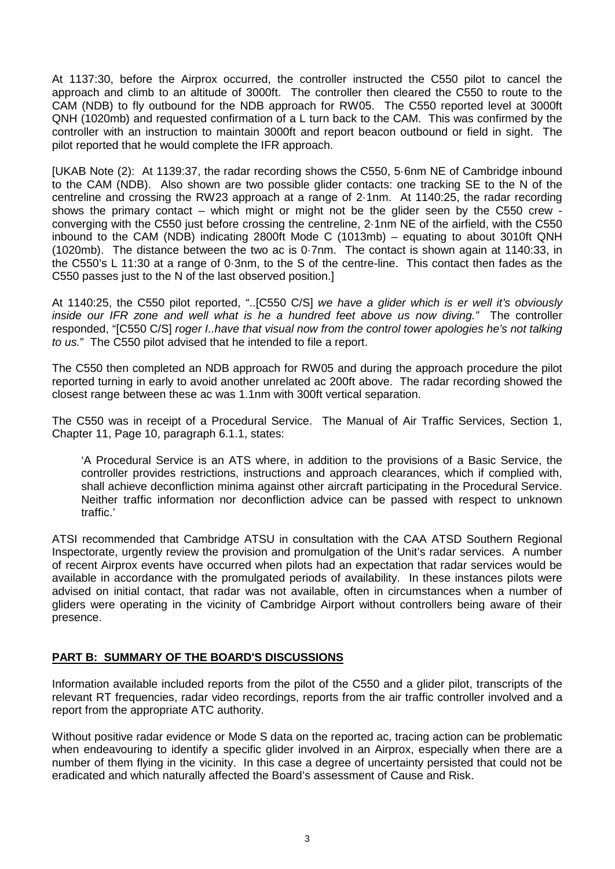At 1137:30, before the Airprox occurred, the controller instructed the C550 pilot to cancel the approach and climb to an altitude of 3000ft. The controller then cleared the C550 to route to the CAM (NDB) to fly outbound for the NDB approach for RW05. The C550 reported level at 3000ft QNH (1020mb) and requested confirmation of a L turn back to the CAM. This was confirmed by the controller with an instruction to maintain 3000ft and report beacon outbound or field in sight. The pilot reported that he would complete the IFR approach.

[UKAB Note (2): At 1139:37, the radar recording shows the C550, 5·6nm NE of Cambridge inbound to the CAM (NDB). Also shown are two possible glider contacts: one tracking SE to the N of the centreline and crossing the RW23 approach at a range of 2·1nm. At 1140:25, the radar recording shows the primary contact – which might or might not be the glider seen by the C550 crew converging with the C550 just before crossing the centreline, 2·1nm NE of the airfield, with the C550 inbound to the CAM (NDB) indicating 2800ft Mode C (1013mb) – equating to about 3010ft QNH (1020mb). The distance between the two ac is 0·7nm. The contact is shown again at 1140:33, in the C550's L 11:30 at a range of 0·3nm, to the S of the centre-line. This contact then fades as the C550 passes just to the N of the last observed position.]

At 1140:25, the C550 pilot reported, "..[C550 C/S] *we have a glider which is er well it's obviously inside our IFR zone and well what is he a hundred feet above us now diving."* The controller responded, "[C550 C/S] *roger I..have that visual now from the control tower apologies he's not talking to us.*" The C550 pilot advised that he intended to file a report.

The C550 then completed an NDB approach for RW05 and during the approach procedure the pilot reported turning in early to avoid another unrelated ac 200ft above. The radar recording showed the closest range between these ac was 1.1nm with 300ft vertical separation.

The C550 was in receipt of a Procedural Service. The Manual of Air Traffic Services, Section 1, Chapter 11, Page 10, paragraph 6.1.1, states:

'A Procedural Service is an ATS where, in addition to the provisions of a Basic Service, the controller provides restrictions, instructions and approach clearances, which if complied with, shall achieve deconfliction minima against other aircraft participating in the Procedural Service. Neither traffic information nor deconfliction advice can be passed with respect to unknown traffic.'

ATSI recommended that Cambridge ATSU in consultation with the CAA ATSD Southern Regional Inspectorate, urgently review the provision and promulgation of the Unit's radar services. A number of recent Airprox events have occurred when pilots had an expectation that radar services would be available in accordance with the promulgated periods of availability. In these instances pilots were advised on initial contact, that radar was not available, often in circumstances when a number of gliders were operating in the vicinity of Cambridge Airport without controllers being aware of their presence.

## **PART B: SUMMARY OF THE BOARD'S DISCUSSIONS**

Information available included reports from the pilot of the C550 and a glider pilot, transcripts of the relevant RT frequencies, radar video recordings, reports from the air traffic controller involved and a report from the appropriate ATC authority.

Without positive radar evidence or Mode S data on the reported ac, tracing action can be problematic when endeavouring to identify a specific glider involved in an Airprox, especially when there are a number of them flying in the vicinity. In this case a degree of uncertainty persisted that could not be eradicated and which naturally affected the Board's assessment of Cause and Risk.